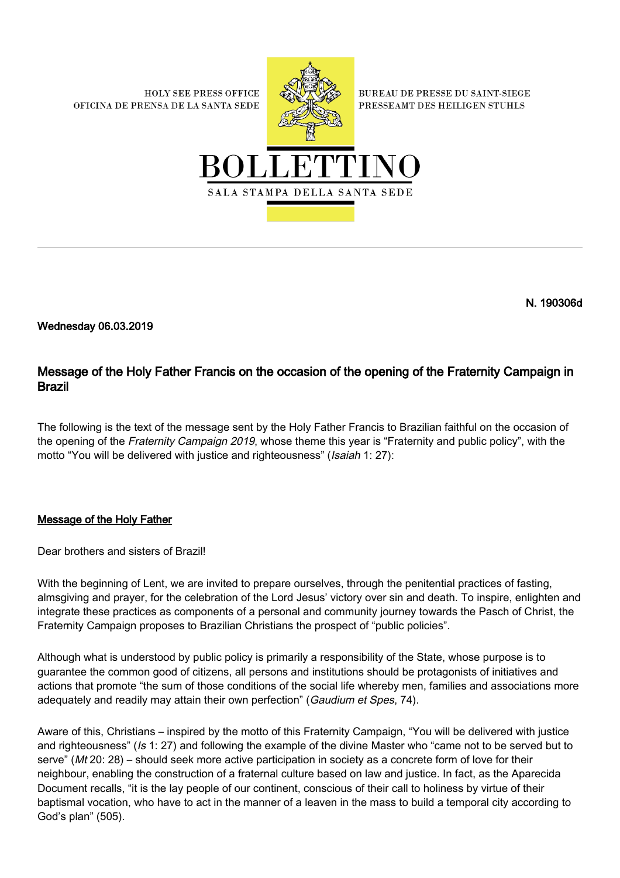**HOLY SEE PRESS OFFICE** OFICINA DE PRENSA DE LA SANTA SEDE



**BUREAU DE PRESSE DU SAINT-SIEGE** PRESSEAMT DES HEILIGEN STUHLS



N. 190306d

Wednesday 06.03.2019

## Message of the Holy Father Francis on the occasion of the opening of the Fraternity Campaign in Brazil

The following is the text of the message sent by the Holy Father Francis to Brazilian faithful on the occasion of the opening of the Fraternity Campaign 2019, whose theme this year is "Fraternity and public policy", with the motto "You will be delivered with justice and righteousness" (Isaiah 1: 27):

## Message of the Holy Father

Dear brothers and sisters of Brazil!

With the beginning of Lent, we are invited to prepare ourselves, through the penitential practices of fasting, almsgiving and prayer, for the celebration of the Lord Jesus' victory over sin and death. To inspire, enlighten and integrate these practices as components of a personal and community journey towards the Pasch of Christ, the Fraternity Campaign proposes to Brazilian Christians the prospect of "public policies".

Although what is understood by public policy is primarily a responsibility of the State, whose purpose is to guarantee the common good of citizens, all persons and institutions should be protagonists of initiatives and actions that promote "the sum of those conditions of the social life whereby men, families and associations more adequately and readily may attain their own perfection" (Gaudium et Spes, 74).

Aware of this, Christians – inspired by the motto of this Fraternity Campaign, "You will be delivered with justice and righteousness" (Is 1: 27) and following the example of the divine Master who "came not to be served but to serve" (Mt 20: 28) – should seek more active participation in society as a concrete form of love for their neighbour, enabling the construction of a fraternal culture based on law and justice. In fact, as the Aparecida Document recalls, "it is the lay people of our continent, conscious of their call to holiness by virtue of their baptismal vocation, who have to act in the manner of a leaven in the mass to build a temporal city according to God's plan" (505).